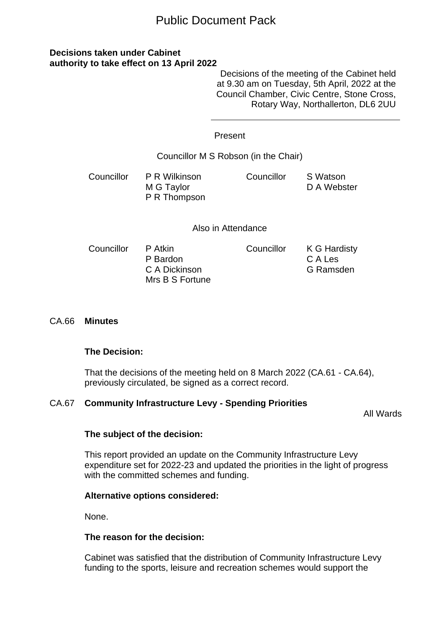# Public Document Pack

# **Decisions taken under Cabinet authority to take effect on 13 April 2022**

Decisions of the meeting of the Cabinet held at 9.30 am on Tuesday, 5th April, 2022 at the Council Chamber, Civic Centre, Stone Cross, Rotary Way, Northallerton, DL6 2UU

|                                      | Present                                                 |            |                                      |
|--------------------------------------|---------------------------------------------------------|------------|--------------------------------------|
| Councillor M S Robson (in the Chair) |                                                         |            |                                      |
| Councillor                           | P R Wilkinson<br>M G Taylor<br>P R Thompson             | Councillor | S Watson<br>D A Webster              |
| Also in Attendance                   |                                                         |            |                                      |
| Councillor                           | P Atkin<br>P Bardon<br>C A Dickinson<br>Mrs B S Fortune | Councillor | K G Hardisty<br>C A Les<br>G Ramsden |

# CA.66 **Minutes**

#### **The Decision:**

That the decisions of the meeting held on 8 March 2022 (CA.61 - CA.64), previously circulated, be signed as a correct record.

# CA.67 **Community Infrastructure Levy - Spending Priorities**

All Wards

# **The subject of the decision:**

This report provided an update on the Community Infrastructure Levy expenditure set for 2022-23 and updated the priorities in the light of progress with the committed schemes and funding.

# **Alternative options considered:**

None.

# **The reason for the decision:**

Cabinet was satisfied that the distribution of Community Infrastructure Levy funding to the sports, leisure and recreation schemes would support the